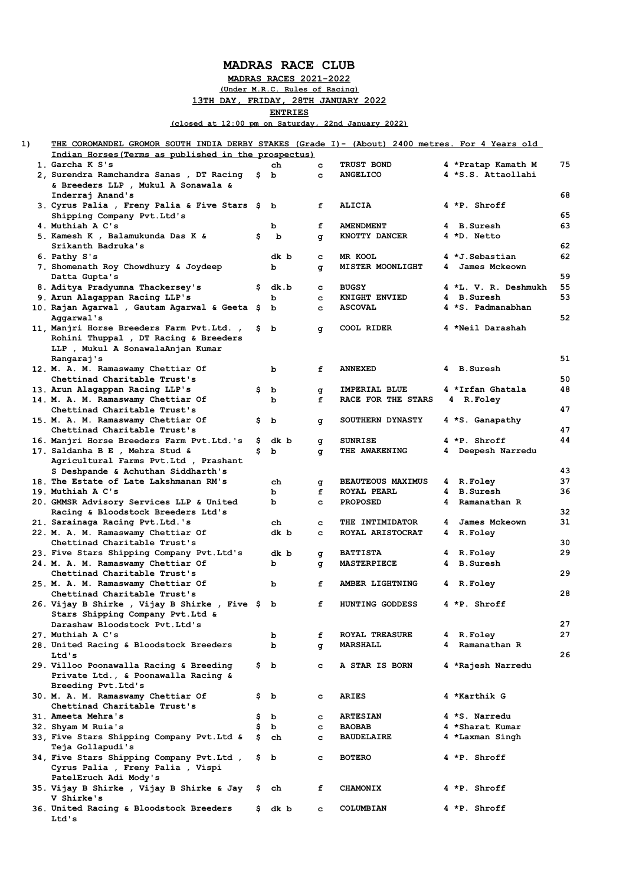## **MADRAS RACE CLUB**

**MADRAS RACES 2021-2022**

**(Under M.R.C. Rules of Racing)**

**13TH DAY, FRIDAY, 28TH JANUARY 2022**

**ENTRIES**

**(closed at 12:00 pm on Saturday, 22nd January 2022)**

| 1) | <u> THE COROMANDEL GROMOR SOUTH INDIA DERBY STAKES (Grade I)- (About) 2400 metres. For 4 Years old</u> |     |      |        |                          |    |                      |    |
|----|--------------------------------------------------------------------------------------------------------|-----|------|--------|--------------------------|----|----------------------|----|
|    | Indian Horses (Terms as published in the prospectus)                                                   |     |      |        |                          |    |                      |    |
|    | 1. Garcha K S's                                                                                        |     | ch   | c      | <b>TRUST BOND</b>        |    | 4 *Pratap Kamath M   | 75 |
|    | 2, Surendra Ramchandra Sanas , DT Racing                                                               | \$  | b    | c      | <b>ANGELICO</b>          |    | 4 *S.S. Attaollahi   |    |
|    | & Breeders LLP , Mukul A Sonawala &                                                                    |     |      |        |                          |    |                      |    |
|    | Inderraj Anand's                                                                                       |     |      |        |                          |    |                      | 68 |
|    | 3. Cyrus Palia , Freny Palia & Five Stars                                                              | Ş.  | b    | f      | <b>ALICIA</b>            |    | 4 *P. Shroff         |    |
|    | Shipping Company Pvt.Ltd's                                                                             |     |      |        |                          |    |                      | 65 |
|    | 4. Muthiah A C's                                                                                       |     | b    | f      | <b>AMENDMENT</b>         |    | 4 B.Suresh           | 63 |
|    | 5. Kamesh K , Balamukunda Das K &                                                                      | \$  | b    | g      | KNOTTY DANCER            |    | 4 *D. Netto          |    |
|    | Srikanth Badruka's                                                                                     |     |      |        |                          |    |                      | 62 |
|    | 6. Pathy S's                                                                                           |     | dk b | c      | MR KOOL                  |    | 4 *J.Sebastian       | 62 |
|    | 7. Shomenath Roy Chowdhury & Joydeep                                                                   |     | b    |        | <b>MISTER MOONLIGHT</b>  | 4  | James Mckeown        |    |
|    | Datta Gupta's                                                                                          |     |      | g      |                          |    |                      | 59 |
|    | 8. Aditya Pradyumna Thackersey's                                                                       |     |      |        | <b>BUGSY</b>             |    | 4 *L. V. R. Deshmukh | 55 |
|    |                                                                                                        | \$. | dk.b | c      |                          |    | 4 B.Suresh           | 53 |
|    | 9. Arun Alagappan Racing LLP's                                                                         |     | b    | c      | KNIGHT ENVIED            |    |                      |    |
|    | 10. Rajan Agarwal , Gautam Agarwal & Geeta \$                                                          |     | b    | c      | <b>ASCOVAL</b>           |    | 4 *S. Padmanabhan    |    |
|    | Aggarwal's                                                                                             |     |      |        |                          |    |                      | 52 |
|    | 11, Manjri Horse Breeders Farm Pvt.Ltd.,                                                               | \$. | b    | q      | COOL RIDER               |    | 4 *Neil Darashah     |    |
|    | Rohini Thuppal , DT Racing & Breeders                                                                  |     |      |        |                          |    |                      |    |
|    | LLP , Mukul A SonawalaAnjan Kumar                                                                      |     |      |        |                          |    |                      |    |
|    | Rangaraj's                                                                                             |     |      |        |                          |    |                      | 51 |
|    | 12. M. A. M. Ramaswamy Chettiar Of                                                                     |     | b    | f      | <b>ANNEXED</b>           |    | 4 B.Suresh           |    |
|    | Chettinad Charitable Trust's                                                                           |     |      |        |                          |    |                      | 50 |
|    | 13. Arun Alagappan Racing LLP's                                                                        | \$  | b    | g      | IMPERIAL BLUE            |    | 4 *Irfan Ghatala     | 48 |
|    | 14. M. A. M. Ramaswamy Chettiar Of                                                                     |     | b    | f      | RACE FOR THE STARS       |    | 4 R.Foley            |    |
|    | Chettinad Charitable Trust's                                                                           |     |      |        |                          |    |                      | 47 |
|    | 15. M. A. M. Ramaswamy Chettiar Of                                                                     | Ş.  | b    | g      | <b>SOUTHERN DYNASTY</b>  |    | 4 *S. Ganapathy      |    |
|    | Chettinad Charitable Trust's                                                                           |     |      |        |                          |    |                      | 47 |
|    | 16. Manjri Horse Breeders Farm Pvt.Ltd.'s                                                              | Ş.  | dk b | g      | <b>SUNRISE</b>           |    | 4 *P. Shroff         | 44 |
|    | 17. Saldanha B E , Mehra Stud &                                                                        | s   | b    | q      | THE AWAKENING            |    | 4 Deepesh Narredu    |    |
|    | Agricultural Farms Pvt.Ltd , Prashant                                                                  |     |      |        |                          |    |                      |    |
|    | S Deshpande & Achuthan Siddharth's                                                                     |     |      |        |                          |    |                      | 43 |
|    | 18. The Estate of Late Lakshmanan RM's                                                                 |     | ch   |        | <b>BEAUTEOUS MAXIMUS</b> | 4. | R.Foley              | 37 |
|    | 19. Muthiah A C's                                                                                      |     |      | g<br>f | <b>ROYAL PEARL</b>       | 4  | <b>B.Suresh</b>      | 36 |
|    |                                                                                                        |     | b    |        |                          |    |                      |    |
|    | 20. GMMSR Advisory Services LLP & United                                                               |     | ь    | c      | <b>PROPOSED</b>          | 4  | Ramanathan R         |    |
|    | Racing & Bloodstock Breeders Ltd's                                                                     |     |      |        |                          |    |                      | 32 |
|    | 21. Sarainaga Racing Pvt.Ltd.'s                                                                        |     | ch   | c      | <b>THE INTIMIDATOR</b>   | 4  | James Mckeown        | 31 |
|    | 22. M. A. M. Ramaswamy Chettiar Of                                                                     |     | dk b | c      | ROYAL ARISTOCRAT         | 4  | <b>R.Foley</b>       |    |
|    | Chettinad Charitable Trust's                                                                           |     |      |        |                          |    |                      | 30 |
|    | 23. Five Stars Shipping Company Pvt.Ltd's                                                              |     | dk b | g      | <b>BATTISTA</b>          |    | 4 R.Foley            | 29 |
|    | 24. M. A. M. Ramaswamy Chettiar Of                                                                     |     | b    | q      | <b>MASTERPIECE</b>       | 4  | <b>B.Suresh</b>      |    |
|    | Chettinad Charitable Trust's                                                                           |     |      |        |                          |    |                      | 29 |
|    | 25. M. A. M. Ramaswamy Chettiar Of                                                                     |     | b    | f      | AMBER LIGHTNING          |    | 4 R.Foley            |    |
|    | Chettinad Charitable Trust's                                                                           |     |      |        |                          |    |                      | 28 |
|    | 26. Vijay B Shirke, Vijay B Shirke, Five \$ b                                                          |     |      | f      | HUNTING GODDESS          |    | 4 *P. Shroff         |    |
|    | Stars Shipping Company Pvt. Ltd &                                                                      |     |      |        |                          |    |                      |    |
|    | Darashaw Bloodstock Pvt.Ltd's                                                                          |     |      |        |                          |    |                      | 27 |
|    | 27. Muthiah A C's                                                                                      |     | b    | f      | <b>ROYAL TREASURE</b>    |    | 4 R.Foley            | 27 |
|    | 28. United Racing & Bloodstock Breeders                                                                |     | b    | q      | MARSHALL                 |    | 4 Ramanathan R       |    |
|    | Ltd's                                                                                                  |     |      |        |                          |    |                      | 26 |
|    | 29. Villoo Poonawalla Racing & Breeding                                                                |     | \$Ь  | c.     | A STAR IS BORN           |    | 4 *Rajesh Narredu    |    |
|    | Private Ltd., & Poonawalla Racing &                                                                    |     |      |        |                          |    |                      |    |
|    | Breeding Pvt. Ltd's                                                                                    |     |      |        |                          |    |                      |    |
|    | 30. M. A. M. Ramaswamy Chettiar Of                                                                     |     | ş b  | c      | <b>ARIES</b>             |    | 4 *Karthik G         |    |
|    | Chettinad Charitable Trust's                                                                           |     |      |        |                          |    |                      |    |
|    | 31. Ameeta Mehra's                                                                                     | \$  | b    | c      | <b>ARTESIAN</b>          |    | 4 *S. Narredu        |    |
|    | 32. Shyam M Ruia's                                                                                     | \$  | b    | c      | <b>BAOBAB</b>            |    | 4 *Sharat Kumar      |    |
|    | 33, Five Stars Shipping Company Pvt.Ltd &                                                              | \$  | ch   | c      | <b>BAUDELAIRE</b>        |    | 4 *Laxman Singh      |    |
|    |                                                                                                        |     |      |        |                          |    |                      |    |
|    | Teja Gollapudi's                                                                                       |     |      |        |                          |    |                      |    |
|    | 34, Five Stars Shipping Company Pvt.Ltd,                                                               |     | \$ Ъ | c      | <b>BOTERO</b>            |    | 4 *P. Shroff         |    |
|    | Cyrus Palia , Freny Palia , Vispi                                                                      |     |      |        |                          |    |                      |    |
|    | PatelEruch Adi Mody's                                                                                  |     |      |        |                          |    |                      |    |
|    | 35. Vijay B Shirke , Vijay B Shirke & Jay                                                              | Ş.  | ch   | f      | <b>CHAMONIX</b>          |    | 4 *P. Shroff         |    |
|    | V Shirke's                                                                                             |     |      |        |                          |    |                      |    |
|    | 36. United Racing & Bloodstock Breeders                                                                | \$. | dk b | c      | COLUMBIAN                |    | 4 *P. Shroff         |    |
|    | Ltd's                                                                                                  |     |      |        |                          |    |                      |    |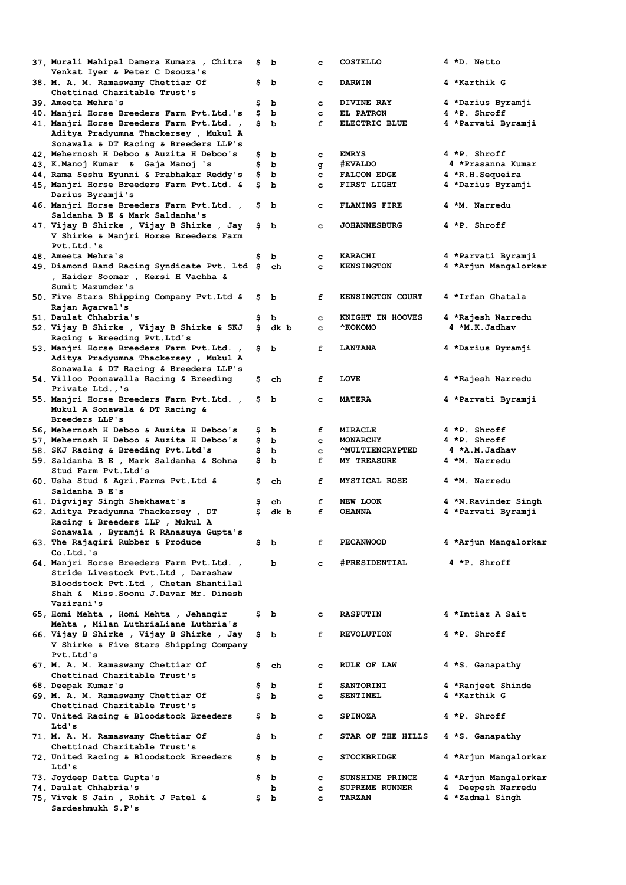| 37, Murali Mahipal Damera Kumara , Chitra<br>Venkat Iyer & Peter C Dsouza's           | Ş.       | b      | c            | <b>COSTELLO</b>         | 4 *D. Netto                       |
|---------------------------------------------------------------------------------------|----------|--------|--------------|-------------------------|-----------------------------------|
| 38. M. A. M. Ramaswamy Chettiar Of                                                    | Ş        | b      | c            | <b>DARWIN</b>           | 4 *Karthik G                      |
| Chettinad Charitable Trust's<br>39. Ameeta Mehra's                                    |          |        |              |                         |                                   |
|                                                                                       | \$<br>\$ | b<br>b | c<br>c       | DIVINE RAY<br>EL PATRON | 4 *Darius Byramji<br>4 *P. Shroff |
| 40. Manjri Horse Breeders Farm Pvt.Ltd.'s<br>41. Manjri Horse Breeders Farm Pvt.Ltd., | \$       | b      | f            | ELECTRIC BLUE           | 4 *Parvati Byramji                |
| Aditya Pradyumna Thackersey , Mukul A<br>Sonawala & DT Racing & Breeders LLP's        |          |        |              |                         |                                   |
| 42, Mehernosh H Deboo & Auzita H Deboo's                                              | Ş        | b      | c            | <b>EMRYS</b>            | 4 *P. Shroff                      |
| 43, K.Manoj Kumar & Gaja Manoj 's                                                     | \$       | b      | q            | <b>#EVALDO</b>          | 4 *Prasanna Kumar                 |
| 44, Rama Seshu Eyunni & Prabhakar Reddy's                                             | \$       | b      | c            | <b>FALCON EDGE</b>      | 4 *R.H.Sequeira                   |
| 45, Manjri Horse Breeders Farm Pvt.Ltd. &                                             | Ş        | b      | c            | FIRST LIGHT             | 4 *Darius Byramji                 |
| Darius Byramji's                                                                      |          |        |              |                         |                                   |
| 46. Manjri Horse Breeders Farm Pvt.Ltd.,<br>Saldanha B E & Mark Saldanha's            | Ş        | b      | c            | <b>FLAMING FIRE</b>     | 4 *M. Narredu                     |
| 47. Vijay B Shirke , Vijay B Shirke , Jay                                             | Ş.       | b      | c            | <b>JOHANNESBURG</b>     | 4 *P. Shroff                      |
| V Shirke & Manjri Horse Breeders Farm<br>Pvt.Ltd.'s                                   |          |        |              |                         |                                   |
| 48. Ameeta Mehra's                                                                    | \$       | b      | c            | <b>KARACHI</b>          | 4 *Parvati Byramji                |
| 49. Diamond Band Racing Syndicate Pvt. Ltd \$                                         |          | ch     | c            | <b>KENSINGTON</b>       | 4 *Arjun Mangalorkar              |
| , Haider Soomar , Kersi H Vachha &<br>Sumit Mazumder's                                |          |        |              |                         |                                   |
| 50. Five Stars Shipping Company Pvt.Ltd &                                             | ş        | b      | f            | <b>KENSINGTON COURT</b> | 4 *Irfan Ghatala                  |
| Rajan Agarwal's                                                                       |          |        |              |                         |                                   |
| 51. Daulat Chhabria's                                                                 | \$       | b      | c            | KNIGHT IN HOOVES        | 4 *Rajesh Narredu                 |
| 52. Vijay B Shirke , Vijay B Shirke & SKJ                                             | \$       | dk b   | c            | ^KOKOMO                 | 4 *M.K.Jadhav                     |
| Racing & Breeding Pvt. Ltd's                                                          |          |        |              |                         |                                   |
| 53. Manjri Horse Breeders Farm Pvt.Ltd.,                                              | \$       | ь      | f            | <b>LANTANA</b>          | 4 *Darius Byramji                 |
| Aditya Pradyumna Thackersey , Mukul A                                                 |          |        |              |                         |                                   |
| Sonawala & DT Racing & Breeders LLP's                                                 |          |        |              |                         |                                   |
| 54. Villoo Poonawalla Racing & Breeding                                               | \$       | ch     | f            | <b>LOVE</b>             | 4 *Rajesh Narredu                 |
| Private Ltd.,'s                                                                       |          |        |              |                         |                                   |
| 55. Manjri Horse Breeders Farm Pvt.Ltd.,                                              | \$       | b      | c            | <b>MATERA</b>           | 4 *Parvati Byramji                |
| Mukul A Sonawala & DT Racing &                                                        |          |        |              |                         |                                   |
| Breeders LLP's                                                                        |          |        |              |                         |                                   |
| 56, Mehernosh H Deboo & Auzita H Deboo's                                              | ş        | b      | f            | <b>MIRACLE</b>          | 4 *P. Shroff                      |
| 57, Mehernosh H Deboo & Auzita H Deboo's                                              | \$       | b      | c            | MONARCHY                | 4 *P. Shroff                      |
| 58. SKJ Racing & Breeding Pvt.Ltd's                                                   | \$       | ь      | c            | <b>AULTIENCRYPTED</b>   | 4 *A.M.Jadhav                     |
| 59. Saldanha B E , Mark Saldanha & Sohna                                              | \$       |        |              | <b>MY TREASURE</b>      | 4 *M. Narredu                     |
|                                                                                       |          |        |              |                         |                                   |
|                                                                                       |          | b      | f            |                         |                                   |
| Stud Farm Pvt.Ltd's                                                                   |          |        |              |                         |                                   |
| 60. Usha Stud & Agri. Farms Pvt. Ltd &                                                | \$       | ch     | f            | <b>MYSTICAL ROSE</b>    | 4 *M. Narredu                     |
| Saldanha B E's                                                                        |          |        |              |                         |                                   |
| 61. Digvijay Singh Shekhawat's                                                        | \$       | ch     | f            | NEW LOOK                | 4 *N.Ravinder Singh               |
| 62. Aditya Pradyumna Thackersey, DT                                                   | \$       | dk b   | f            | <b>OHANNA</b>           | 4 *Parvati Byramji                |
| Racing & Breeders LLP, Mukul A                                                        |          |        |              |                         |                                   |
| Sonawala , Byramji R RAnasuya Gupta's                                                 |          |        |              |                         |                                   |
| 63. The Rajagiri Rubber & Produce                                                     | \$       | ь      | f            | <b>PECANWOOD</b>        | 4 *Arjun Mangalorkar              |
| Co.Ltd.'s                                                                             |          |        |              |                         |                                   |
| 64. Manjri Horse Breeders Farm Pvt.Ltd.,                                              |          | b      | $\mathbf{C}$ | #PRESIDENTIAL           | 4 *P. Shroff                      |
| Stride Livestock Pvt. Ltd , Darashaw                                                  |          |        |              |                         |                                   |
| Bloodstock Pvt.Ltd , Chetan Shantilal                                                 |          |        |              |                         |                                   |
| Shah & Miss. Soonu J. Davar Mr. Dinesh                                                |          |        |              |                         |                                   |
| Vazirani's                                                                            |          |        |              |                         |                                   |
| 65, Homi Mehta , Homi Mehta , Jehangir                                                |          | \$ Ъ   | c            | <b>RASPUTIN</b>         | 4 *Imtiaz A Sait                  |
| Mehta , Milan LuthriaLiane Luthria's                                                  |          |        |              |                         |                                   |
| 66. Vijay B Shirke , Vijay B Shirke , Jay                                             | \$.      | b      | f            | <b>REVOLUTION</b>       | 4 *P. Shroff                      |
| V Shirke & Five Stars Shipping Company                                                |          |        |              |                         |                                   |
| Pvt.Ltd's                                                                             |          |        |              |                         |                                   |
| 67. M. A. M. Ramaswamy Chettiar Of                                                    | \$.      | ch     | c            | RULE OF LAW             | 4 *S. Ganapathy                   |
| Chettinad Charitable Trust's                                                          |          |        |              |                         |                                   |
| 68. Deepak Kumar's                                                                    | \$       | b      | f            | <b>SANTORINI</b>        | 4 *Ranjeet Shinde                 |
| 69. M. A. M. Ramaswamy Chettiar Of                                                    | \$       | b      | c            | <b>SENTINEL</b>         | 4 *Karthik G                      |
| Chettinad Charitable Trust's                                                          |          |        |              |                         |                                   |
| 70. United Racing & Bloodstock Breeders                                               | \$       | b      | c            | <b>SPINOZA</b>          | 4 *P. Shroff                      |
| Ltd's                                                                                 |          |        |              |                         |                                   |
| 71. M. A. M. Ramaswamy Chettiar Of                                                    | Ş.       | b      | f            | STAR OF THE HILLS       | 4 *S. Ganapathy                   |
| Chettinad Charitable Trust's                                                          |          |        |              |                         |                                   |
| 72. United Racing & Bloodstock Breeders                                               | \$       | ь      | c            | <b>STOCKBRIDGE</b>      | 4 *Arjun Mangalorkar              |
| Ltd's                                                                                 |          |        |              |                         |                                   |
| 73. Joydeep Datta Gupta's                                                             | \$       | b      | c            | SUNSHINE PRINCE         | 4 *Arjun Mangalorkar              |
| 74. Daulat Chhabria's                                                                 |          | ь      | c.           | SUPREME RUNNER          | 4 Deepesh Narredu                 |
| 75, Vivek S Jain, Rohit J Patel &<br>Sardeshmukh S.P's                                | \$       | b      | c            | <b>TARZAN</b>           | 4 *Zadmal Singh                   |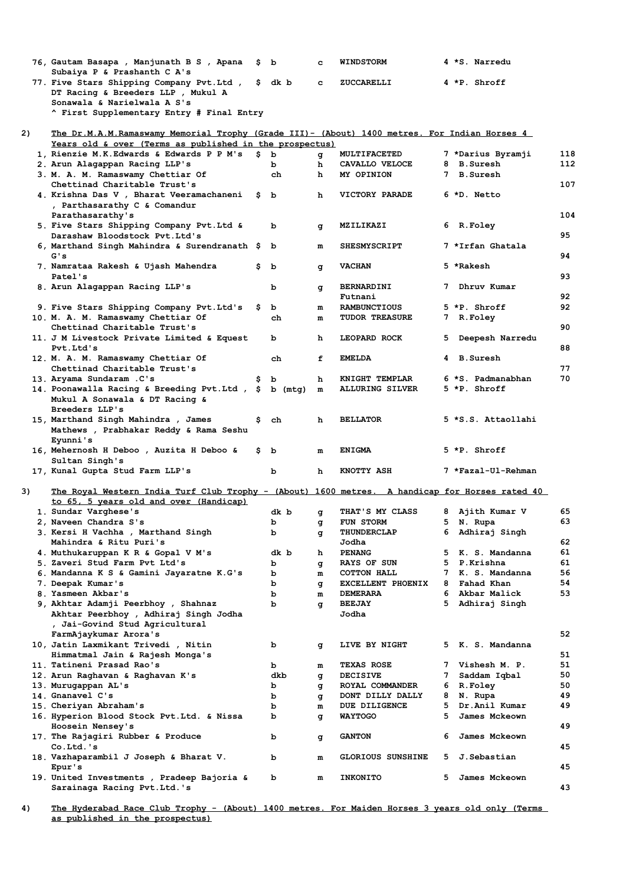|    | 76, Gautam Basapa , Manjunath B S , Apana<br>Subaiya P & Prashanth C A's                       | S.  | $\mathbf{b}$ | c         | <b>WINDSTORM</b>                             |         | 4 *S. Narredu                  |          |
|----|------------------------------------------------------------------------------------------------|-----|--------------|-----------|----------------------------------------------|---------|--------------------------------|----------|
|    | 77. Five Stars Shipping Company Pvt. Ltd ,                                                     | \$. | dk b         | c.        | <b>ZUCCARELLI</b>                            |         | 4 *P. Shroff                   |          |
|    | DT Racing & Breeders LLP, Mukul A                                                              |     |              |           |                                              |         |                                |          |
|    | Sonawala & Narielwala A S's                                                                    |     |              |           |                                              |         |                                |          |
|    | ^ First Supplementary Entry # Final Entry                                                      |     |              |           |                                              |         |                                |          |
| 2) | The Dr.M.A.M.Ramaswamy Memorial Trophy (Grade III)- (About) 1400 metres. For Indian Horses 4   |     |              |           |                                              |         |                                |          |
|    | Years old & over (Terms as published in the prospectus)                                        |     |              |           |                                              |         |                                |          |
|    | 1, Rienzie M.K.Edwards & Edwards P P M's                                                       |     | \$Ы          | đ         | MULTIFACETED                                 |         | 7 *Darius Byramji              | 118      |
|    | 2. Arun Alagappan Racing LLP's                                                                 |     | b            | h         | CAVALLO VELOCE                               |         | 8 B.Suresh                     | 112      |
|    | 3. M. A. M. Ramaswamy Chettiar Of                                                              |     | ch           | h         | MY OPINION                                   |         | 7 B.Suresh                     |          |
|    | Chettinad Charitable Trust's                                                                   |     |              |           |                                              |         |                                | 107      |
|    | 4. Krishna Das V , Bharat Veeramachaneni                                                       | s   | b            | h         | VICTORY PARADE                               |         | 6 *D. Netto                    |          |
|    | , Parthasarathy C & Comandur<br>Parathasarathy's                                               |     |              |           |                                              |         |                                | 104      |
|    | 5. Five Stars Shipping Company Pvt. Ltd &                                                      |     | b            | q         | MZILIKAZI                                    |         | 6 R.Foley                      |          |
|    | Darashaw Bloodstock Pvt.Ltd's                                                                  |     |              |           |                                              |         |                                | 95       |
|    | 6, Marthand Singh Mahindra & Surendranath \$                                                   |     | b            | m         | <b>SHESMYSCRIPT</b>                          |         | 7 *Irfan Ghatala               |          |
|    | G's                                                                                            |     |              |           |                                              |         |                                | 94       |
|    | 7. Namrataa Rakesh & Ujash Mahendra                                                            | s   | ь            | q         | <b>VACHAN</b>                                |         | 5 *Rakesh                      |          |
|    | Patel's                                                                                        |     |              |           |                                              |         |                                | 93       |
|    | 8. Arun Alagappan Racing LLP's                                                                 |     | b            | g         | <b>BERNARDINI</b>                            |         | Dhruv Kumar                    |          |
|    |                                                                                                |     |              |           | Futnani                                      |         |                                | 92<br>92 |
|    | 9. Five Stars Shipping Company Pvt. Ltd's<br>10. M. A. M. Ramaswamy Chettiar Of                | \$  | b<br>ch      | m<br>m    | <b>RAMBUNCTIOUS</b><br><b>TUDOR TREASURE</b> |         | 5 *P. Shroff<br>7 R.Foley      |          |
|    | Chettinad Charitable Trust's                                                                   |     |              |           |                                              |         |                                | 90       |
|    | 11. J M Livestock Private Limited & Equest                                                     |     | b            | h         | LEOPARD ROCK                                 | 5       | Deepesh Narredu                |          |
|    | Pvt.Ltd's                                                                                      |     |              |           |                                              |         |                                | 88       |
|    | 12. M. A. M. Ramaswamy Chettiar Of                                                             |     | ch           | f         | <b>EMELDA</b>                                |         | 4 B.Suresh                     |          |
|    | Chettinad Charitable Trust's                                                                   |     |              |           |                                              |         |                                | 77       |
|    | 13. Aryama Sundaram .C's                                                                       |     | b            | h         | KNIGHT TEMPLAR                               |         | 6 *S. Padmanabhan              | 70       |
|    | 14. Poonawalla Racing & Breeding Pvt.Ltd , \$                                                  |     | $b$ (mtg)    | ${\bf m}$ | <b>ALLURING SILVER</b>                       |         | 5 *P. Shroff                   |          |
|    | Mukul A Sonawala & DT Racing &                                                                 |     |              |           |                                              |         |                                |          |
|    | Breeders LLP's<br>15, Marthand Singh Mahindra , James                                          | s   | ch           | h         | <b>BELLATOR</b>                              |         | 5 *S.S. Attaollahi             |          |
|    | Mathews, Prabhakar Reddy & Rama Seshu                                                          |     |              |           |                                              |         |                                |          |
|    | Eyunni's                                                                                       |     |              |           |                                              |         |                                |          |
|    | 16, Mehernosh H Deboo , Auzita H Deboo &                                                       | \$. | b            | m         | <b>ENIGMA</b>                                |         | 5 *P. Shroff                   |          |
|    | Sultan Singh's                                                                                 |     |              |           |                                              |         |                                |          |
|    | 17, Kunal Gupta Stud Farm LLP's                                                                |     | b            | h         | KNOTTY ASH                                   |         | 7 *Fazal-Ul-Rehman             |          |
|    |                                                                                                |     |              |           |                                              |         |                                |          |
| 3) | The Royal Western India Turf Club Trophy - (About) 1600 metres. A handicap for Horses rated 40 |     |              |           |                                              |         |                                |          |
|    | to 65, 5 years old and over (Handicap)<br>1. Sundar Varghese's                                 |     | dk b         |           | THAT'S MY CLASS                              |         | 8 Ajith Kumar V                | 65       |
|    | 2, Naveen Chandra S's                                                                          |     | b            | đ<br>g    | FUN STORM                                    |         | 5 N. Rupa                      | 63       |
|    | 3. Kersi H Vachha , Marthand Singh                                                             |     | b            | g         | <b>THUNDERCLAP</b>                           | 6       | Adhiraj Singh                  |          |
|    | Mahindra & Ritu Puri's                                                                         |     |              |           | Jodha                                        |         |                                | 62       |
|    | 4. Muthukaruppan K R & Gopal V M's                                                             |     | dk b         | h         | <b>PENANG</b>                                |         | 5 K. S. Mandanna               | 61       |
|    | 5. Zaveri Stud Farm Pvt Ltd's                                                                  |     | b            | g         | <b>RAYS OF SUN</b>                           |         | 5 P.Krishna                    | 61       |
|    | 6. Mandanna K S & Gamini Jayaratne K.G's                                                       |     | b            | m         | COTTON HALL                                  |         | 7 K. S. Mandanna               | 56       |
|    | 7. Deepak Kumar's                                                                              |     | ь            | g         | <b>EXCELLENT PHOENIX</b>                     | 8       | Fahad Khan                     | 54       |
|    | 8. Yasmeen Akbar's                                                                             |     | b            | m         | <b>DEMERARA</b><br><b>BEEJAY</b>             | 6<br>5. | Akbar Malick                   | 53       |
|    | 9, Akhtar Adamji Peerbhoy , Shahnaz<br>Akhtar Peerbhoy, Adhiraj Singh Jodha                    |     | ь            | q         | Jodha                                        |         | Adhiraj Singh                  |          |
|    | , Jai-Govind Stud Agricultural                                                                 |     |              |           |                                              |         |                                |          |
|    | FarmAjaykumar Arora's                                                                          |     |              |           |                                              |         |                                | 52       |
|    | 10, Jatin Laxmikant Trivedi , Nitin                                                            |     | b            | g         | LIVE BY NIGHT                                | 5.      | K. S. Mandanna                 |          |
|    | Himmatmal Jain & Rajesh Monga's                                                                |     |              |           |                                              |         |                                | 51       |
|    | 11. Tatineni Prasad Rao's                                                                      |     | b            | m         | <b>TEXAS ROSE</b>                            |         | 7 Vishesh M. P.                | 51       |
|    | 12. Arun Raghavan & Raghavan K's                                                               |     | dkb          | đ         | <b>DECISIVE</b>                              | 7       | Saddam Iqbal                   | 50       |
|    | 13. Murugappan AL's                                                                            |     | b            | q         | ROYAL COMMANDER                              |         | 6 R.Foley                      | 50       |
|    | 14. Gnanavel C's                                                                               |     | b            | q         | DONT DILLY DALLY                             |         | 8 N. Rupa                      | 49       |
|    | 15. Cheriyan Abraham's<br>16. Hyperion Blood Stock Pvt.Ltd. & Nissa                            |     | ь<br>b       | m         | DUE DILIGENCE<br><b>WAYTOGO</b>              | 5<br>5  | Dr.Anil Kumar<br>James Mckeown | 49       |
|    | Hoosein Nensey's                                                                               |     |              | đ         |                                              |         |                                | 49       |
|    | 17. The Rajagiri Rubber & Produce                                                              |     | b            | g         | <b>GANTON</b>                                | 6       | James Mckeown                  |          |
|    | Co.Ltd.'s                                                                                      |     |              |           |                                              |         |                                | 45       |
|    | 18. Vazhaparambil J Joseph & Bharat V.                                                         |     | b            | m         | <b>GLORIOUS SUNSHINE</b>                     | 5.      | J.Sebastian                    |          |
|    | Epur's                                                                                         |     |              |           |                                              |         |                                | 45       |
|    | 19. United Investments , Pradeep Bajoria &                                                     |     | b            | m         | <b>INKONITO</b>                              | 5       | James Mckeown                  |          |
|    | Sarainaga Racing Pvt.Ltd.'s                                                                    |     |              |           |                                              |         |                                | 43       |

**4) The Hyderabad Race Club Trophy - (About) 1400 metres. For Maiden Horses 3 years old only (Terms as published in the prospectus)**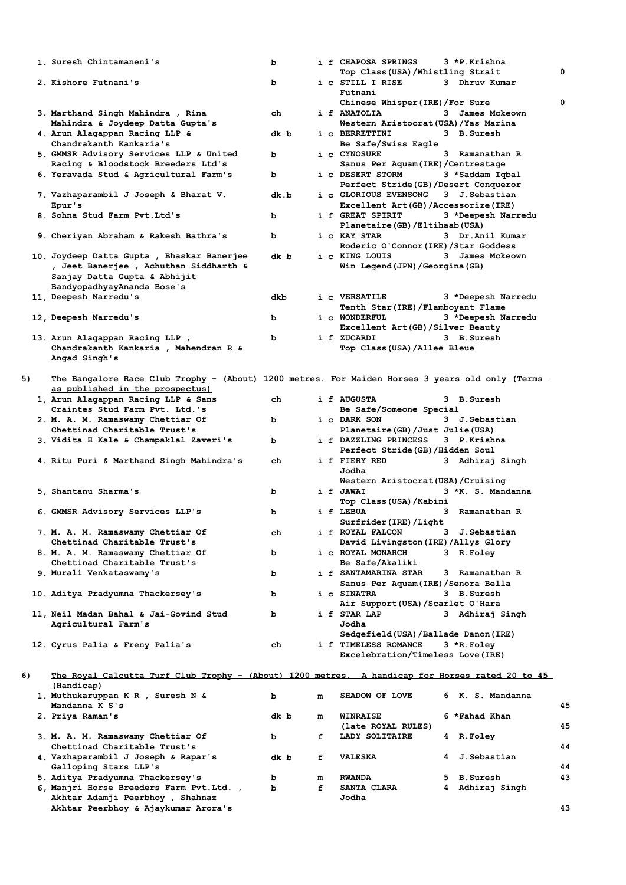|    | 1. Suresh Chintamaneni's                                                                        | b    |   | i f CHAPOSA SPRINGS                                            | 3 *P.Krishna         |    |
|----|-------------------------------------------------------------------------------------------------|------|---|----------------------------------------------------------------|----------------------|----|
|    | 2. Kishore Futnani's                                                                            |      |   | Top Class(USA)/Whistling Strait<br>i c STILL I RISE            | 3 Dhruv Kumar        | 0  |
|    |                                                                                                 | ь    |   | Futnani                                                        |                      |    |
|    |                                                                                                 |      |   | Chinese Whisper(IRE)/For Sure                                  |                      | 0  |
|    | 3. Marthand Singh Mahindra, Rina                                                                | ch   |   | i f ANATOLIA                                                   | 3 James Mckeown      |    |
|    | Mahindra & Joydeep Datta Gupta's<br>4. Arun Alagappan Racing LLP &                              |      |   | Western Aristocrat (USA) / Yas Marina<br>i c BERRETTINI        | 3 B.Suresh           |    |
|    | Chandrakanth Kankaria's                                                                         | dk b |   | Be Safe/Swiss Eagle                                            |                      |    |
|    | 5. GMMSR Advisory Services LLP & United                                                         | b    |   | i c CYNOSURE                                                   | 3 Ramanathan R       |    |
|    | Racing & Bloodstock Breeders Ltd's                                                              |      |   | Sanus Per Aquam (IRE) / Centrestage                            |                      |    |
|    | 6. Yeravada Stud & Agricultural Farm's                                                          | b    |   | i c DESERT STORM                                               | 3 *Saddam Iqbal      |    |
|    | 7. Vazhaparambil J Joseph & Bharat V.                                                           | dk.b |   | Perfect Stride (GB) /Desert Conqueror<br>i c GLORIOUS EVENSONG | 3 J. Sebastian       |    |
|    | Epur's                                                                                          |      |   | Excellent Art(GB)/Accessorize(IRE)                             |                      |    |
|    | 8. Sohna Stud Farm Pvt.Ltd's                                                                    | b    |   | i f GREAT SPIRIT                                               | 3 *Deepesh Narredu   |    |
|    |                                                                                                 |      |   | Planetaire (GB) /Eltihaab (USA)                                |                      |    |
|    | 9. Cheriyan Abraham & Rakesh Bathra's                                                           | b    |   | i c KAY STAR<br>Roderic O'Connor (IRE) / Star Goddess          | 3 Dr.Anil Kumar      |    |
|    | 10. Joydeep Datta Gupta, Bhaskar Banerjee                                                       | dk b |   | i c KING LOUIS                                                 | 3 James Mckeown      |    |
|    | , Jeet Banerjee , Achuthan Siddharth &                                                          |      |   | Win Legend(JPN)/Georgina(GB)                                   |                      |    |
|    | Sanjay Datta Gupta & Abhijit                                                                    |      |   |                                                                |                      |    |
|    | BandyopadhyayAnanda Bose's                                                                      |      |   |                                                                |                      |    |
|    | 11, Deepesh Narredu's                                                                           | dkb  |   | i c VERSATILE<br>Tenth Star(IRE)/Flamboyant Flame              | 3 *Deepesh Narredu   |    |
|    | 12, Deepesh Narredu's                                                                           | b    |   | i c WONDERFUL                                                  | 3 *Deepesh Narredu   |    |
|    |                                                                                                 |      |   | Excellent Art (GB) / Silver Beauty                             |                      |    |
|    | 13. Arun Alagappan Racing LLP,                                                                  | ь    |   | i f ZUCARDI                                                    | 3 B.Suresh           |    |
|    | Chandrakanth Kankaria , Mahendran R &<br>Angad Singh's                                          |      |   | Top Class(USA)/Allee Bleue                                     |                      |    |
|    |                                                                                                 |      |   |                                                                |                      |    |
| 5) | The Bangalore Race Club Trophy - (About) 1200 metres. For Maiden Horses 3 years old only (Terms |      |   |                                                                |                      |    |
|    | as published in the prospectus)                                                                 |      |   |                                                                |                      |    |
|    | 1, Arun Alagappan Racing LLP & Sans<br>Craintes Stud Farm Pvt. Ltd.'s                           | ch   |   | i f AUGUSTA<br>Be Safe/Someone Special                         | 3 B.Suresh           |    |
|    | 2. M. A. M. Ramaswamy Chettiar Of                                                               | ь    |   | i c DARK SON                                                   | 3 J.Sebastian        |    |
|    | Chettinad Charitable Trust's                                                                    |      |   | Planetaire (GB) / Just Julie (USA)                             |                      |    |
|    | 3. Vidita H Kale & Champaklal Zaveri's                                                          | ь    |   | i f DAZZLING PRINCESS                                          | 3 P.Krishna          |    |
|    | 4. Ritu Puri & Marthand Singh Mahindra's                                                        | ch   |   | Perfect Stride(GB)/Hidden Soul<br>i f FIERY RED                | 3 Adhiraj Singh      |    |
|    |                                                                                                 |      |   | Jodha                                                          |                      |    |
|    |                                                                                                 |      |   | Western Aristocrat (USA) / Cruising                            |                      |    |
|    | 5, Shantanu Sharma's                                                                            | b    |   | i f JAWAI                                                      | 3 *K. S. Mandanna    |    |
|    | 6. GMMSR Advisory Services LLP's                                                                | b    |   | Top Class(USA)/Kabini<br>i f LEBUA                             | 3 Ramanathan R       |    |
|    |                                                                                                 |      |   | Surfrider (IRE) / Light                                        |                      |    |
|    | 7. M. A. M. Ramaswamy Chettiar Of                                                               | ch   |   | i f ROYAL FALCON                                               | 3 J.Sebastian        |    |
|    | Chettinad Charitable Trust's                                                                    |      |   | David Livingston (IRE) / Allys Glory                           |                      |    |
|    | 8. M. A. M. Ramaswamy Chettiar Of<br>Chettinad Charitable Trust's                               | ь    |   | i c ROYAL MONARCH<br>Be Safe/Akaliki                           | 3 R.Foley            |    |
|    | 9. Murali Venkataswamy's                                                                        | b    |   | i f SANTAMARINA STAR                                           | 3 Ramanathan R       |    |
|    |                                                                                                 |      |   | Sanus Per Aquam(IRE)/Senora Bella                              |                      |    |
|    | 10. Aditya Pradyumna Thackersey's                                                               | b    |   | i c SINATRA                                                    | 3 B.Suresh           |    |
|    | 11, Neil Madan Bahal & Jai-Govind Stud                                                          | b    |   | Air Support(USA)/Scarlet O'Hara<br>i f STAR LAP                | 3 Adhiraj Singh      |    |
|    | Agricultural Farm's                                                                             |      |   | Jodha                                                          |                      |    |
|    |                                                                                                 |      |   | Sedgefield(USA)/Ballade Danon(IRE)                             |                      |    |
|    | 12. Cyrus Palia & Freny Palia's                                                                 | ch   |   | i f TIMELESS ROMANCE                                           | 3 *R.Foley           |    |
|    |                                                                                                 |      |   | Excelebration/Timeless Love(IRE)                               |                      |    |
| 6) | The Royal Calcutta Turf Club Trophy - (About) 1200 metres. A handicap for Horses rated 20 to 45 |      |   |                                                                |                      |    |
|    | (Handicap)                                                                                      |      |   |                                                                |                      |    |
|    | 1. Muthukaruppan K R , Suresh N &<br>Mandanna K S's                                             | b    | m | SHADOW OF LOVE                                                 | 6 K. S. Mandanna     | 45 |
|    | 2. Priya Raman's                                                                                | dk b | m | <b>WINRAISE</b>                                                | 6 *Fahad Khan        |    |
|    |                                                                                                 |      |   | (late ROYAL RULES)                                             |                      | 45 |
|    | 3. M. A. M. Ramaswamy Chettiar Of                                                               | ь    | f | LADY SOLITAIRE                                                 | <b>R.Foley</b><br>4  |    |
|    | Chettinad Charitable Trust's<br>4. Vazhaparambil J Joseph & Rapar's                             | dk b | f | <b>VALESKA</b>                                                 | J.Sebastian<br>4     | 44 |
|    | Galloping Stars LLP's                                                                           |      |   |                                                                |                      | 44 |
|    | 5. Aditya Pradyumna Thackersey's                                                                | b    | m | <b>RWANDA</b>                                                  | <b>B.Suresh</b><br>5 | 43 |
|    | 6, Manjri Horse Breeders Farm Pvt.Ltd.,                                                         | ь    | f | SANTA CLARA                                                    | Adhiraj Singh<br>4   |    |
|    | Akhtar Adamji Peerbhoy, Shahnaz                                                                 |      |   | Jodha                                                          |                      |    |
|    | Akhtar Peerbhoy & Ajaykumar Arora's                                                             |      |   |                                                                |                      | 43 |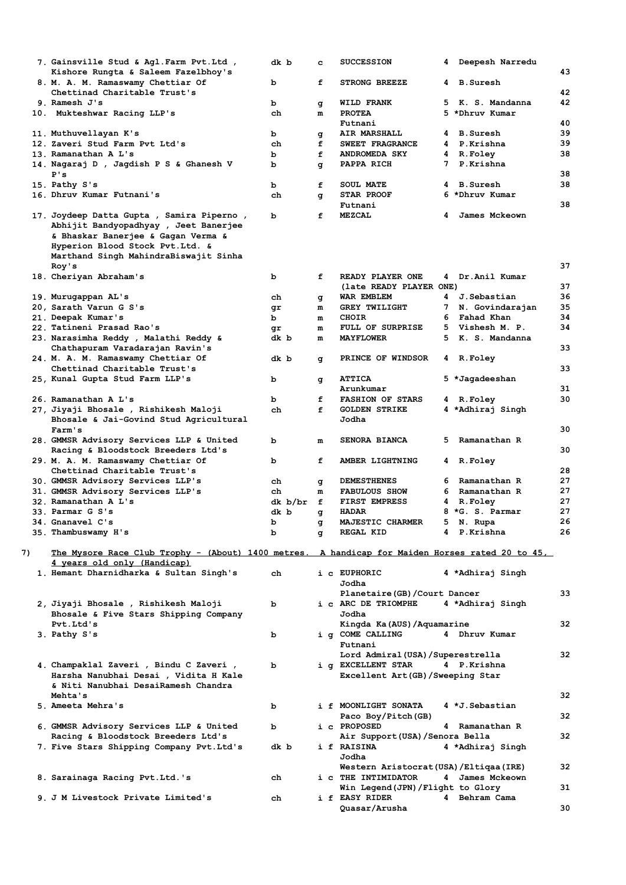|    | 7. Gainsville Stud & Agl.Farm Pvt.Ltd ,<br>Kishore Rungta & Saleem Fazelbhoy's                  | dk b     | c      | <b>SUCCESSION</b>                          | 4 | Deepesh Narredu  | 43       |
|----|-------------------------------------------------------------------------------------------------|----------|--------|--------------------------------------------|---|------------------|----------|
|    | 8. M. A. M. Ramaswamy Chettiar Of                                                               | b        | f      | <b>STRONG BREEZE</b>                       | 4 | <b>B.Suresh</b>  |          |
|    | Chettinad Charitable Trust's                                                                    |          |        |                                            |   |                  | 42       |
|    | 9. Ramesh J's                                                                                   | b        | g      | WILD FRANK                                 | 5 | K. S. Mandanna   | 42       |
|    | 10. Mukteshwar Racing LLP's                                                                     | ch       | m      | <b>PROTEA</b><br>Futnani                   |   | 5 *Dhruv Kumar   | 40       |
|    | 11. Muthuvellayan K's                                                                           | b        |        | AIR MARSHALL                               | 4 | <b>B.Suresh</b>  | 39       |
|    | 12. Zaveri Stud Farm Pvt Ltd's                                                                  | ch       | g<br>f | SWEET FRAGRANCE                            |   | 4 P.Krishna      | 39       |
|    | 13. Ramanathan A L's                                                                            | b        | f      | <b>ANDROMEDA SKY</b>                       | 4 | R.Foley          | 38       |
|    | 14. Nagaraj D , Jagdish P S & Ghanesh V                                                         | b        | g      | PAPPA RICH                                 | 7 | P.Krishna        |          |
|    | P's                                                                                             |          |        |                                            |   |                  | 38       |
|    | 15. Pathy S's                                                                                   | b        | f      | <b>SOUL MATE</b>                           |   | 4 B.Suresh       | 38       |
|    | 16. Dhruv Kumar Futnani's                                                                       | ch       | q      | <b>STAR PROOF</b>                          |   | 6 *Dhruv Kumar   |          |
|    |                                                                                                 |          |        | Futnani                                    |   |                  | 38       |
|    | 17. Joydeep Datta Gupta , Samira Piperno ,                                                      | b        | f      | <b>MEZCAL</b>                              | 4 | James Mckeown    |          |
|    | Abhijit Bandyopadhyay , Jeet Banerjee                                                           |          |        |                                            |   |                  |          |
|    | & Bhaskar Banerjee & Gagan Verma &<br>Hyperion Blood Stock Pvt.Ltd. &                           |          |        |                                            |   |                  |          |
|    | Marthand Singh MahindraBiswajit Sinha                                                           |          |        |                                            |   |                  |          |
|    | Roy's                                                                                           |          |        |                                            |   |                  | 37       |
|    | 18. Cheriyan Abraham's                                                                          | b        | f      | READY PLAYER ONE                           |   | 4 Dr.Anil Kumar  |          |
|    |                                                                                                 |          |        | (late READY PLAYER ONE)                    |   |                  | 37       |
|    | 19. Murugappan AL's                                                                             | ch       | g      | WAR EMBLEM                                 | 4 | J.Sebastian      | 36       |
|    | 20, Sarath Varun G S's                                                                          | qr       | m      | <b>GREY TWILIGHT</b>                       | 7 | N. Govindarajan  | 35       |
|    | 21. Deepak Kumar's                                                                              | ь        | m      | <b>CHOIR</b>                               | 6 | Fahad Khan       | 34       |
|    | 22. Tatineni Prasad Rao's                                                                       | qr       | m      | FULL OF SURPRISE                           | 5 | Vishesh M. P.    | 34       |
|    | 23. Narasimha Reddy , Malathi Reddy &                                                           | dk b     | m      | <b>MAYFLOWER</b>                           | 5 | K. S. Mandanna   |          |
|    | Chathapuram Varadarajan Ravin's                                                                 |          |        |                                            |   |                  | 33       |
|    | 24. M. A. M. Ramaswamy Chettiar Of<br>Chettinad Charitable Trust's                              | dk b     | g      | PRINCE OF WINDSOR                          |   | 4 R.Foley        | 33       |
|    | 25, Kunal Gupta Stud Farm LLP's                                                                 | b        | g      | <b>ATTICA</b>                              |   | 5 *Jagadeeshan   |          |
|    |                                                                                                 |          |        | Arunkumar                                  |   |                  | 31       |
|    | 26. Ramanathan A L's                                                                            | b        | f      | <b>FASHION OF STARS</b>                    |   | 4 R.Foley        | 30       |
|    | 27, Jiyaji Bhosale , Rishikesh Maloji                                                           | ch       | f      | <b>GOLDEN STRIKE</b>                       |   | 4 *Adhiraj Singh |          |
|    | Bhosale & Jai-Govind Stud Agricultural                                                          |          |        | Jodha                                      |   |                  |          |
|    | Farm's                                                                                          |          |        |                                            |   |                  | 30       |
|    | 28. GMMSR Advisory Services LLP & United                                                        | b        | m      | SENORA BIANCA                              | 5 | Ramanathan R     |          |
|    | Racing & Bloodstock Breeders Ltd's                                                              |          |        |                                            |   |                  | 30       |
|    | 29. M. A. M. Ramaswamy Chettiar Of                                                              | b        | f      | AMBER LIGHTNING                            | 4 | R.Foley          |          |
|    | Chettinad Charitable Trust's                                                                    |          |        |                                            | 6 | Ramanathan R     | 28<br>27 |
|    | 30. GMMSR Advisory Services LLP's<br>31. GMMSR Advisory Services LLP's                          | ch<br>ch | g<br>m | <b>DEMESTHENES</b><br><b>FABULOUS SHOW</b> | 6 | Ramanathan R     | 27       |
|    | 32. Ramanathan A L's                                                                            | dk b/br  | f      | <b>FIRST EMPRESS</b>                       | 4 | R.Foley          | 27       |
|    | 33. Parmar G S's                                                                                | dk b     | g      | <b>HADAR</b>                               |   | 8 *G. S. Parmar  | 27       |
|    | 34. Gnanavel C's                                                                                | b        | q      | MAJESTIC CHARMER                           | 5 | N. Rupa          | 26       |
|    | 35. Thambuswamy H's                                                                             | b        | g      | <b>REGAL KID</b>                           |   | 4 P.Krishna      | 26       |
|    |                                                                                                 |          |        |                                            |   |                  |          |
| 7) | The Mysore Race Club Trophy - (About) 1400 metres. A handicap for Maiden Horses rated 20 to 45, |          |        |                                            |   |                  |          |
|    | 4 years old only (Handicap)                                                                     |          |        |                                            |   |                  |          |
|    | 1. Hemant Dharnidharka & Sultan Singh's                                                         | ch       |        | i c EUPHORIC                               |   | 4 *Adhiraj Singh |          |
|    |                                                                                                 |          |        | Jodha<br>Planetaire (GB) / Court Dancer    |   |                  | 33       |
|    | 2, Jiyaji Bhosale , Rishikesh Maloji                                                            | b        |        | i c ARC DE TRIOMPHE                        |   | 4 *Adhiraj Singh |          |
|    | Bhosale & Five Stars Shipping Company                                                           |          |        | Jodha                                      |   |                  |          |
|    | Pvt.Ltd's                                                                                       |          |        | Kingda Ka(AUS)/Aquamarine                  |   |                  | 32       |
|    | 3. Pathy S's                                                                                    | b        |        | i q COME CALLING                           |   | 4 Dhruv Kumar    |          |
|    |                                                                                                 |          |        | Futnani                                    |   |                  |          |
|    |                                                                                                 |          |        | Lord Admiral (USA) / Superestrella         |   |                  | 32       |
|    | 4. Champaklal Zaveri , Bindu C Zaveri ,                                                         | b        |        | i q EXCELLENT STAR                         |   | 4 P.Krishna      |          |
|    | Harsha Nanubhai Desai , Vidita H Kale                                                           |          |        | Excellent Art (GB) / Sweeping Star         |   |                  |          |
|    | & Niti Nanubhai DesaiRamesh Chandra                                                             |          |        |                                            |   |                  |          |
|    | Mehta's<br>5. Ameeta Mehra's                                                                    |          |        | i f MOONLIGHT SONATA                       |   | 4 *J.Sebastian   | 32       |
|    |                                                                                                 | b        |        | Paco Boy/Pitch (GB)                        |   |                  | 32       |
|    | 6. GMMSR Advisory Services LLP & United                                                         | b        |        | i c PROPOSED                               |   | 4 Ramanathan R   |          |
|    | Racing & Bloodstock Breeders Ltd's                                                              |          |        | Air Support (USA) / Senora Bella           |   |                  | 32       |
|    | 7. Five Stars Shipping Company Pvt.Ltd's                                                        | dk b     |        | i f RAISINA                                |   | 4 *Adhiraj Singh |          |
|    |                                                                                                 |          |        | Jodha                                      |   |                  |          |
|    |                                                                                                 |          |        | Western Aristocrat (USA) / Eltiqaa (IRE)   |   |                  | 32       |
|    | 8. Sarainaga Racing Pvt.Ltd.'s                                                                  | ch       |        | i c THE INTIMIDATOR                        |   | 4 James Mckeown  |          |
|    |                                                                                                 |          |        | Win Legend (JPN) / Flight to Glory         |   |                  | 31       |
|    | 9. J M Livestock Private Limited's                                                              | ch       |        | i f EASY RIDER<br>Quasar/Arusha            |   | 4 Behram Cama    | 30       |
|    |                                                                                                 |          |        |                                            |   |                  |          |